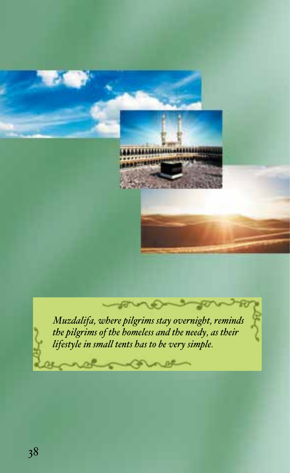

*Muzdalifa, where pilgrims stay overnight, reminds the pilgrims of the homeless and the needy, as their lifestyle in small tents has to be very simple.*

sono

notogene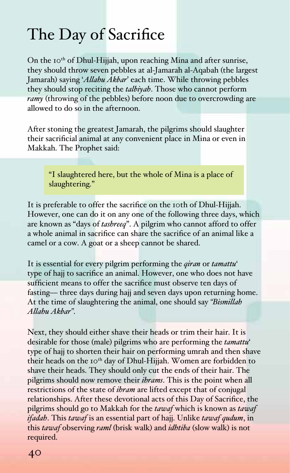## The Day of Sacrifice

On the 10<sup>th</sup> of Dhul-Hijjah, upon reaching Mina and after sunrise, they should throw seven pebbles at al-Jamarah al-Aqabah (the largest Jamarah) saying '*Allahu Akbar*' each time. While throwing pebbles they should stop reciting the *talbiyah*. Those who cannot perform *ramy* (throwing of the pebbles) before noon due to overcrowding are allowed to do so in the afternoon.

After stoning the greatest Jamarah, the pilgrims should slaughter their sacrificial animal at any convenient place in Mina or even in Makkah. The Prophet said:

"I slaughtered here, but the whole of Mina is a place of slaughtering."

It is preferable to offer the sacrifice on the 10th of Dhul-Hijjah. However, one can do it on any one of the following three days, which are known as "days of *tashreeq*". A pilgrim who cannot afford to offer a whole animal in sacrifice can share the sacrifice of an animal like a camel or a cow. A goat or a sheep cannot be shared.

It is essential for every pilgrim performing the *qiran* or *tamattu*' type of hajj to sacrifice an animal. However, one who does not have sufficient means to offer the sacrifice must observe ten days of fasting— three days during hajj and seven days upon returning home. At the time of slaughtering the animal, one should say *"Bismillah Allahu Akbar"*.

Next, they should either shave their heads or trim their hair. It is desirable for those (male) pilgrims who are performing the *tamattu*' type of hajj to shorten their hair on performing umrah and then shave their heads on the 10<sup>th</sup> day of Dhul-Hijjah. Women are forbidden to shave their heads. They should only cut the ends of their hair. The pilgrims should now remove their *ihrams*. This is the point when all restrictions of the state of *ihram* are lifted except that of conjugal relationships. After these devotional acts of this Day of Sacrifice, the pilgrims should go to Makkah for the *tawaf* which is known as *tawaf ifadah*. This *tawaf* is an essential part of hajj. Unlike *tawaf qudum*, in this *tawaf* observing *raml* (brisk walk) and *idhtiba* (slow walk) is not required.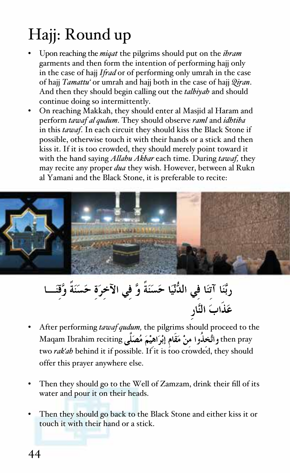## Hajj: Round up

- Upon reaching the *miqat* the pilgrims should put on the *ihram* garments and then form the intention of performing hajj only in the case of hajj *Ifrad* or of performing only umrah in the case of hajj *Tamattu'* or umrah and hajj both in the case of hajj *Qiran*. And then they should begin calling out the *talbiyah* and should continue doing so intermittently.
- On reaching Makkah, they should enter al Masjid al Haram and perform *tawaf al qudum*. They should observe *raml* and *idhtiba* in this *tawaf*. In each circuit they should kiss the Black Stone if possible, otherwise touch it with their hands or a stick and then kiss it. If it is too crowded, they should merely point toward it with the hand saying *Allahu Akbar* each time. During *tawaf,* they may recite any proper *dua* they wish. However, between al Rukn al Yamani and the Black Stone, it is preferable to recite:



- After performing *tawaf qudum,* the pilgrims should proceed to the hen pray واتَّخذَوا منْ مَقَام إبْرَاهيْمَ مُصَلِّمٍ Maqam Ibrahim reciting two *rak'ah* behind it if possible. If it is too crowded, they should offer this prayer anywhere else.
- Then they should go to the Well of Zamzam, drink their fill of its water and pour it on their heads.
- Then they should go back to the Black Stone and either kiss it or touch it with their hand or a stick.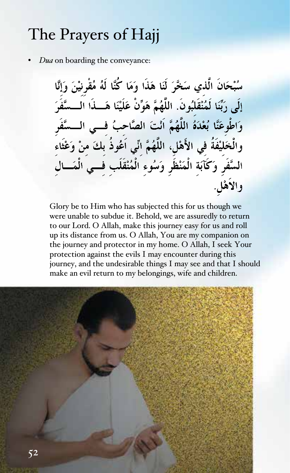## The Prayers of Hajj

• *Dua* on boarding the conveyance:

سُبْحَانَ الَّذي سَخَّرَ لَنَا هَذَا وَمَا كُنَّا لَهُ مُقْرِنيْنَ وَإِنَّا إِلَى رَبِّنَا لَمُنْقَلِبُونَ. اللَّهُمَّ هَوِّنْ عَلَيْنَا هَـــذَا الـــسَّفَرَ وَاطْوعَنَّا بُعْدَهُ اللَّهُمَّ اَنْتَ الصَّاحبُ فـــى الـــسَّفَر والْخَليْفَةُ في الأَهْلِ، اللَّهُمَّ انِّي اَعُوذُ بكَ منْ وَعْثَاء السَّفَرِ وَكَآبَة الْمَنْظَرِ وَسُوءِ الْمُنْقَلَب فـــى الْمَـــال والأهْلِ.

Glory be to Him who has subjected this for us though we were unable to subdue it. Behold, we are assuredly to return to our Lord. O Allah, make this journey easy for us and roll up its distance from us. O Allah, You are my companion on the journey and protector in my home. O Allah, I seek Your protection against the evils I may encounter during this journey, and the undesirable things I may see and that I should make an evil return to my belongings, wife and children.